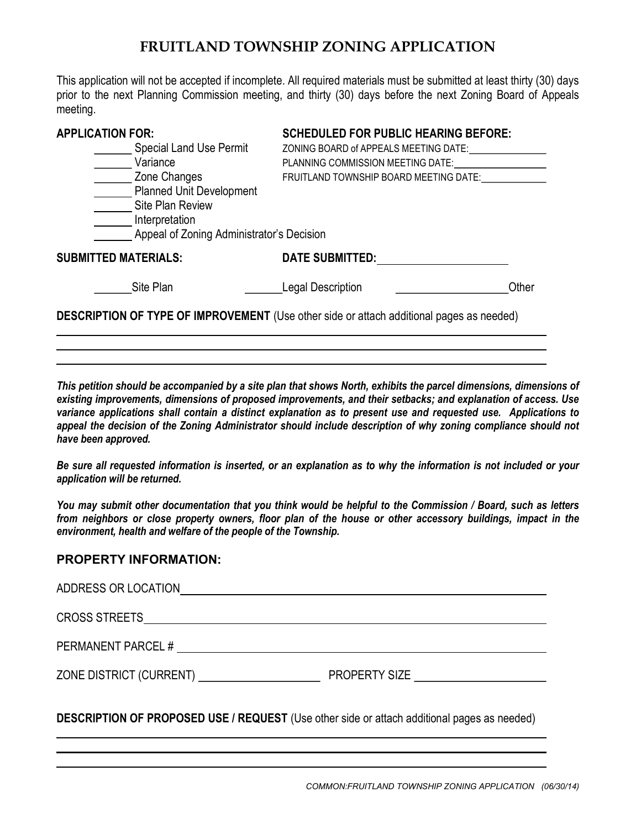## FRUITLAND TOWNSHIP ZONING APPLICATION

This application will not be accepted if incomplete. All required materials must be submitted at least thirty (30) days prior to the next Planning Commission meeting, and thirty (30) days before the next Zoning Board of Appeals meeting.

| <b>APPLICATION FOR:</b>                                                                                            | <b>SCHEDULED FOR PUBLIC HEARING BEFORE:</b> |       |
|--------------------------------------------------------------------------------------------------------------------|---------------------------------------------|-------|
| <b>Special Land Use Permit</b>                                                                                     | ZONING BOARD of APPEALS MEETING DATE:       |       |
| Variance                                                                                                           | PLANNING COMMISSION MEETING DATE:           |       |
| Zone Changes                                                                                                       | FRUITLAND TOWNSHIP BOARD MEETING DATE:      |       |
| <b>Planned Unit Development</b><br>Site Plan Review<br>Interpretation<br>Appeal of Zoning Administrator's Decision |                                             |       |
| <b>SUBMITTED MATERIALS:</b>                                                                                        | <b>DATE SUBMITTED:</b>                      |       |
| Site Plan                                                                                                          | <b>Legal Description</b>                    | Other |
| <b>DESCRIPTION OF TYPE OF IMPROVEMENT</b> (Use other side or attach additional pages as needed)                    |                                             |       |

This petition should be accompanied by a site plan that shows North, exhibits the parcel dimensions, dimensions of existing improvements, dimensions of proposed improvements, and their setbacks; and explanation of access. Use variance applications shall contain a distinct explanation as to present use and requested use. Applications to appeal the decision of the Zoning Administrator should include description of why zoning compliance should not have been approved.

Be sure all requested information is inserted, or an explanation as to why the information is not included or your application will be returned.

You may submit other documentation that you think would be helpful to the Commission / Board, such as letters from neighbors or close property owners, floor plan of the house or other accessory buildings, impact in the environment, health and welfare of the people of the Township.

## PROPERTY INFORMATION:

l

| ADDRESS OR LOCATION  |  |
|----------------------|--|
| <b>CROSS STREETS</b> |  |
| PERMANENT PARCEL #   |  |
|                      |  |
|                      |  |

DESCRIPTION OF PROPOSED USE / REQUEST (Use other side or attach additional pages as needed) l